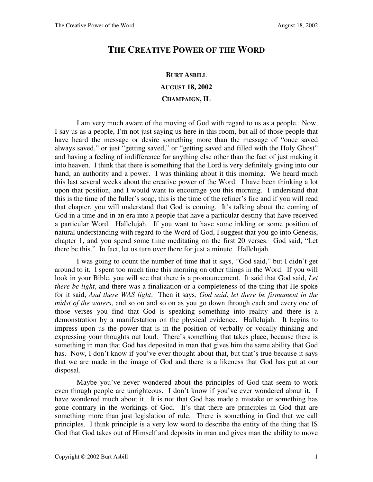## **THE CREATIVE POWER OF THE WORD**

## **BURT ASBILL AUGUST 18, 2002 CHAMPAIGN, IL**

I am very much aware of the moving of God with regard to us as a people. Now, I say us as a people, I'm not just saying us here in this room, but all of those people that have heard the message or desire something more than the message of "once saved always saved," or just "getting saved," or "getting saved and filled with the Holy Ghost" and having a feeling of indifference for anything else other than the fact of just making it into heaven. I think that there is something that the Lord is very definitely giving into our hand, an authority and a power. I was thinking about it this morning. We heard much this last several weeks about the creative power of the Word. I have been thinking a lot upon that position, and I would want to encourage you this morning. I understand that this is the time of the fuller's soap, this is the time of the refiner's fire and if you will read that chapter, you will understand that God is coming. It's talking about the coming of God in a time and in an era into a people that have a particular destiny that have received a particular Word. Hallelujah. If you want to have some inkling or some position of natural understanding with regard to the Word of God, I suggest that you go into Genesis, chapter 1, and you spend some time meditating on the first 20 verses. God said, "Let there be this." In fact, let us turn over there for just a minute. Hallelujah.

I was going to count the number of time that it says, "God said," but I didn't get around to it. I spent too much time this morning on other things in the Word. If you will look in your Bible, you will see that there is a pronouncement. It said that God said, *Let there be light*, and there was a finalization or a completeness of the thing that He spoke for it said, *And there WAS light*. Then it says*, God said, let there be firmament in the midst of the waters*, and so on and so on as you go down through each and every one of those verses you find that God is speaking something into reality and there is a demonstration by a manifestation on the physical evidence. Hallelujah. It begins to impress upon us the power that is in the position of verbally or vocally thinking and expressing your thoughts out loud. There's something that takes place, because there is something in man that God has deposited in man that gives him the same ability that God has. Now, I don't know if you've ever thought about that, but that's true because it says that we are made in the image of God and there is a likeness that God has put at our disposal.

Maybe you've never wondered about the principles of God that seem to work even though people are unrighteous. I don't know if you've ever wondered about it. I have wondered much about it. It is not that God has made a mistake or something has gone contrary in the workings of God. It's that there are principles in God that are something more than just legislation of rule. There is something in God that we call principles. I think principle is a very low word to describe the entity of the thing that IS God that God takes out of Himself and deposits in man and gives man the ability to move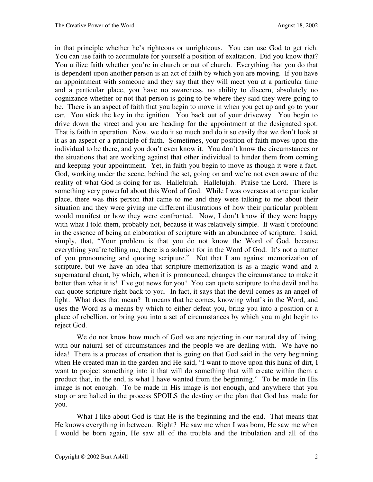in that principle whether he's righteous or unrighteous. You can use God to get rich. You can use faith to accumulate for yourself a position of exaltation. Did you know that? You utilize faith whether you're in church or out of church. Everything that you do that is dependent upon another person is an act of faith by which you are moving. If you have an appointment with someone and they say that they will meet you at a particular time and a particular place, you have no awareness, no ability to discern, absolutely no cognizance whether or not that person is going to be where they said they were going to be. There is an aspect of faith that you begin to move in when you get up and go to your car. You stick the key in the ignition. You back out of your driveway. You begin to drive down the street and you are heading for the appointment at the designated spot. That is faith in operation. Now, we do it so much and do it so easily that we don't look at it as an aspect or a principle of faith. Sometimes, your position of faith moves upon the individual to be there, and you don't even know it. You don't know the circumstances or the situations that are working against that other individual to hinder them from coming and keeping your appointment. Yet, in faith you begin to move as though it were a fact. God, working under the scene, behind the set, going on and we're not even aware of the reality of what God is doing for us. Hallelujah. Hallelujah. Praise the Lord. There is something very powerful about this Word of God. While I was overseas at one particular place, there was this person that came to me and they were talking to me about their situation and they were giving me different illustrations of how their particular problem would manifest or how they were confronted. Now, I don't know if they were happy with what I told them, probably not, because it was relatively simple. It wasn't profound in the essence of being an elaboration of scripture with an abundance of scripture. I said, simply, that, "Your problem is that you do not know the Word of God, because everything you're telling me, there is a solution for in the Word of God. It's not a matter of you pronouncing and quoting scripture." Not that I am against memorization of scripture, but we have an idea that scripture memorization is as a magic wand and a supernatural chant, by which, when it is pronounced, changes the circumstance to make it better than what it is! I've got news for you! You can quote scripture to the devil and he can quote scripture right back to you. In fact, it says that the devil comes as an angel of light. What does that mean? It means that he comes, knowing what's in the Word, and uses the Word as a means by which to either defeat you, bring you into a position or a place of rebellion, or bring you into a set of circumstances by which you might begin to reject God.

We do not know how much of God we are rejecting in our natural day of living, with our natural set of circumstances and the people we are dealing with. We have no idea! There is a process of creation that is going on that God said in the very beginning when He created man in the garden and He said, "I want to move upon this hunk of dirt, I want to project something into it that will do something that will create within them a product that, in the end, is what I have wanted from the beginning." To be made in His image is not enough. To be made in His image is not enough, and anywhere that you stop or are halted in the process SPOILS the destiny or the plan that God has made for you.

What I like about God is that He is the beginning and the end. That means that He knows everything in between. Right? He saw me when I was born, He saw me when I would be born again, He saw all of the trouble and the tribulation and all of the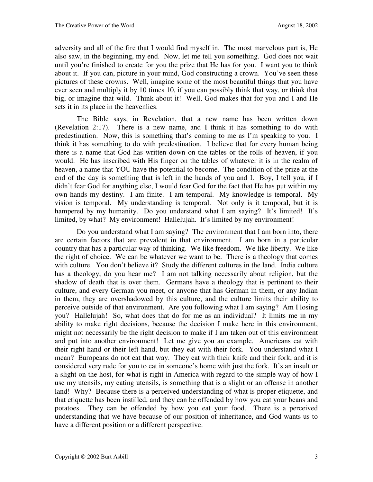adversity and all of the fire that I would find myself in. The most marvelous part is, He also saw, in the beginning, my end. Now, let me tell you something. God does not wait until you're finished to create for you the prize that He has for you. I want you to think about it. If you can, picture in your mind, God constructing a crown. You've seen these pictures of these crowns. Well, imagine some of the most beautiful things that you have ever seen and multiply it by 10 times 10, if you can possibly think that way, or think that big, or imagine that wild. Think about it! Well, God makes that for you and I and He sets it in its place in the heavenlies.

The Bible says, in Revelation, that a new name has been written down (Revelation 2:17). There is a new name, and I think it has something to do with predestination. Now, this is something that's coming to me as I'm speaking to you. I think it has something to do with predestination. I believe that for every human being there is a name that God has written down on the tables or the rolls of heaven, if you would. He has inscribed with His finger on the tables of whatever it is in the realm of heaven, a name that YOU have the potential to become. The condition of the prize at the end of the day is something that is left in the hands of you and I. Boy, I tell you, if I didn't fear God for anything else, I would fear God for the fact that He has put within my own hands my destiny. I am finite. I am temporal. My knowledge is temporal. My vision is temporal. My understanding is temporal. Not only is it temporal, but it is hampered by my humanity. Do you understand what I am saying? It's limited! It's limited, by what? My environment! Hallelujah. It's limited by my environment!

Do you understand what I am saying? The environment that I am born into, there are certain factors that are prevalent in that environment. I am born in a particular country that has a particular way of thinking. We like freedom. We like liberty. We like the right of choice. We can be whatever we want to be. There is a theology that comes with culture. You don't believe it? Study the different cultures in the land. India culture has a theology, do you hear me? I am not talking necessarily about religion, but the shadow of death that is over them. Germans have a theology that is pertinent to their culture, and every German you meet, or anyone that has German in them, or any Indian in them, they are overshadowed by this culture, and the culture limits their ability to perceive outside of that environment. Are you following what I am saying? Am I losing you? Hallelujah! So, what does that do for me as an individual? It limits me in my ability to make right decisions, because the decision I make here in this environment, might not necessarily be the right decision to make if I am taken out of this environment and put into another environment! Let me give you an example. Americans eat with their right hand or their left hand, but they eat with their fork. You understand what I mean? Europeans do not eat that way. They eat with their knife and their fork, and it is considered very rude for you to eat in someone's home with just the fork. It's an insult or a slight on the host, for what is right in America with regard to the simple way of how I use my utensils, my eating utensils, is something that is a slight or an offense in another land! Why? Because there is a perceived understanding of what is proper etiquette, and that etiquette has been instilled, and they can be offended by how you eat your beans and potatoes. They can be offended by how you eat your food. There is a perceived understanding that we have because of our position of inheritance, and God wants us to have a different position or a different perspective.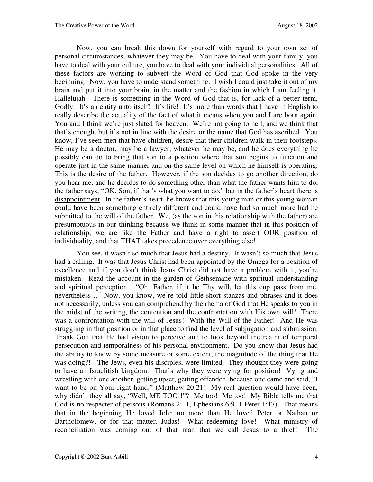Now, you can break this down for yourself with regard to your own set of personal circumstances, whatever they may be. You have to deal with your family, you have to deal with your culture, you have to deal with your individual personalities. All of these factors are working to subvert the Word of God that God spoke in the very beginning. Now, you have to understand something. I wish I could just take it out of my brain and put it into your brain, in the matter and the fashion in which I am feeling it. Hallelujah. There is something in the Word of God that is, for lack of a better term, Godly. It's an entity unto itself! It's life! It's more than words that I have in English to really describe the actuality of the fact of what it means when you and I are born again. You and I think we're just slated for heaven. We're not going to hell, and we think that that's enough, but it's not in line with the desire or the name that God has ascribed. You know, I've seen men that have children, desire that their children walk in their footsteps. He may be a doctor, may be a lawyer, whatever he may be, and he does everything he possibly can do to bring that son to a position where that son begins to function and operate just in the same manner and on the same level on which he himself is operating. This is the desire of the father. However, if the son decides to go another direction, do you hear me, and he decides to do something other than what the father wants him to do, the father says, "OK, Son, if that's what you want to do," but in the father's heart there is disappointment. In the father's heart, he knows that this young man or this young woman could have been something entirely different and could have had so much more had he submitted to the will of the father. We, (as the son in this relationship with the father) are presumptuous in our thinking because we think in some manner that in this position of relationship, we are like the Father and have a right to assert OUR position of individuality, and that THAT takes precedence over everything else!

You see, it wasn't so much that Jesus had a destiny. It wasn't so much that Jesus had a calling. It was that Jesus Christ had been appointed by the Omega for a position of excellence and if you don't think Jesus Christ did not have a problem with it, you're mistaken. Read the account in the garden of Gethsemane with spiritual understanding and spiritual perception. "Oh, Father, if it be Thy will, let this cup pass from me, nevertheless…" Now, you know, we're told little short stanzas and phrases and it does not necessarily, unless you can comprehend by the rhema of God that He speaks to you in the midst of the writing, the contention and the confrontation with His own will! There was a confrontation with the will of Jesus! With the Will of the Father! And He was struggling in that position or in that place to find the level of subjugation and submission. Thank God that He had vision to perceive and to look beyond the realm of temporal persecution and temporalness of his personal environment. Do you know that Jesus had the ability to know by some measure or some extent, the magnitude of the thing that He was doing?! The Jews, even his disciples, were limited. They thought they were going to have an Israelitish kingdom. That's why they were vying for position! Vying and wrestling with one another, getting upset, getting offended, because one came and said, "I want to be on Your right hand." (Matthew 20:21) My real question would have been, why didn't they all say, "Well, ME TOO!!"? Me too! Me too! My Bible tells me that God is no respecter of persons (Romans 2:11, Ephesians 6:9, 1 Peter 1:17). That means that in the beginning He loved John no more than He loved Peter or Nathan or Bartholomew, or for that matter, Judas! What redeeming love! What ministry of reconciliation was coming out of that man that we call Jesus to a thief! The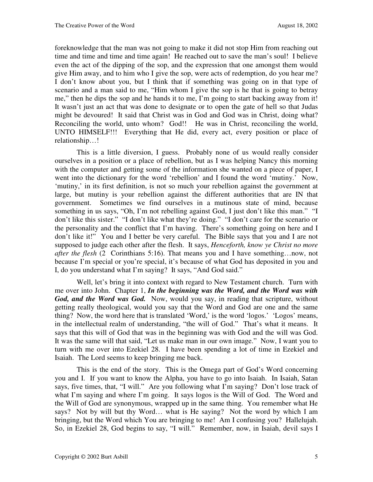foreknowledge that the man was not going to make it did not stop Him from reaching out time and time and time and time again! He reached out to save the man's soul! I believe even the act of the dipping of the sop, and the expression that one amongst them would give Him away, and to him who I give the sop, were acts of redemption, do you hear me? I don't know about you, but I think that if something was going on in that type of scenario and a man said to me, "Him whom I give the sop is he that is going to betray me," then he dips the sop and he hands it to me, I'm going to start backing away from it! It wasn't just an act that was done to designate or to open the gate of hell so that Judas might be devoured! It said that Christ was in God and God was in Christ, doing what? Reconciling the world, unto whom? God!! He was in Christ, reconciling the world, UNTO HIMSELF!!! Everything that He did, every act, every position or place of relationship…!

This is a little diversion, I guess. Probably none of us would really consider ourselves in a position or a place of rebellion, but as I was helping Nancy this morning with the computer and getting some of the information she wanted on a piece of paper, I went into the dictionary for the word 'rebellion' and I found the word 'mutiny.' Now, 'mutiny,' in its first definition, is not so much your rebellion against the government at large, but mutiny is your rebellion against the different authorities that are IN that government. Sometimes we find ourselves in a mutinous state of mind, because something in us says, "Oh, I'm not rebelling against God, I just don't like this man." "I don't like this sister." "I don't like what they're doing." "I don't care for the scenario or the personality and the conflict that I'm having. There's something going on here and I don't like it!" You and I better be very careful. The Bible says that you and I are not supposed to judge each other after the flesh. It says, *Henceforth, know ye Christ no more after the flesh* (2 Corinthians 5:16). That means you and I have something…now, not because I'm special or you're special, it's because of what God has deposited in you and I, do you understand what I'm saying? It says, "And God said."

Well, let's bring it into context with regard to New Testament church. Turn with me over into John. Chapter 1, *In the beginning was the Word, and the Word was with*  God, and the Word was God. Now, would you say, in reading that scripture, without getting really theological, would you say that the Word and God are one and the same thing? Now, the word here that is translated 'Word,' is the word 'logos.' 'Logos' means, in the intellectual realm of understanding, "the will of God." That's what it means. It says that this will of God that was in the beginning was with God and the will was God. It was the same will that said, "Let us make man in our own image." Now, I want you to turn with me over into Ezekiel 28. I have been spending a lot of time in Ezekiel and Isaiah. The Lord seems to keep bringing me back.

This is the end of the story. This is the Omega part of God's Word concerning you and I. If you want to know the Alpha, you have to go into Isaiah. In Isaiah, Satan says, five times, that, "I will." Are you following what I'm saying? Don't lose track of what I'm saying and where I'm going. It says logos is the Will of God. The Word and the Will of God are synonymous, wrapped up in the same thing. You remember what He says? Not by will but thy Word… what is He saying? Not the word by which I am bringing, but the Word which You are bringing to me! Am I confusing you? Hallelujah. So, in Ezekiel 28, God begins to say, "I will." Remember, now, in Isaiah, devil says I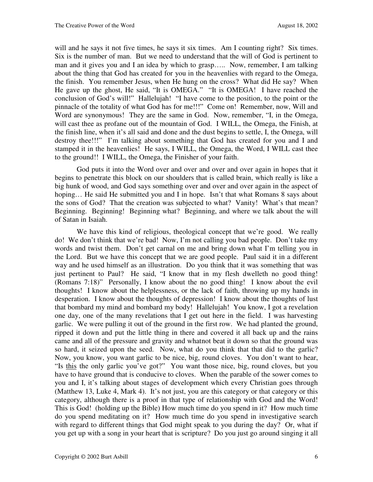will and he says it not five times, he says it six times. Am I counting right? Six times. Six is the number of man. But we need to understand that the will of God is pertinent to man and it gives you and I an idea by which to grasp….. Now, remember, I am talking about the thing that God has created for you in the heavenlies with regard to the Omega, the finish. You remember Jesus, when He hung on the cross? What did He say? When He gave up the ghost, He said, "It is OMEGA." "It is OMEGA! I have reached the conclusion of God's will!" Hallelujah! "I have come to the position, to the point or the pinnacle of the totality of what God has for me!!!" Come on! Remember, now, Will and Word are synonymous! They are the same in God. Now, remember, "I, in the Omega, will cast thee as profane out of the mountain of God. I WILL, the Omega, the Finish, at the finish line, when it's all said and done and the dust begins to settle, I, the Omega, will destroy thee!!!" I'm talking about something that God has created for you and I and stamped it in the heavenlies! He says, I WILL, the Omega, the Word, I WILL cast thee to the ground!! I WILL, the Omega, the Finisher of your faith.

God puts it into the Word over and over and over and over again in hopes that it begins to penetrate this block on our shoulders that is called brain, which really is like a big hunk of wood, and God says something over and over and over again in the aspect of hoping... He said He submitted you and I in hope. Isn't that what Romans 8 says about the sons of God? That the creation was subjected to what? Vanity! What's that mean? Beginning. Beginning! Beginning what? Beginning, and where we talk about the will of Satan in Isaiah.

We have this kind of religious, theological concept that we're good. We really do! We don't think that we're bad! Now, I'm not calling you bad people. Don't take my words and twist them. Don't get carnal on me and bring down what I'm telling you in the Lord. But we have this concept that we are good people. Paul said it in a different way and he used himself as an illustration. Do you think that it was something that was just pertinent to Paul? He said, "I know that in my flesh dwelleth no good thing! (Romans 7:18)" Personally, I know about the no good thing! I know about the evil thoughts! I know about the helplessness, or the lack of faith, throwing up my hands in desperation. I know about the thoughts of depression! I know about the thoughts of lust that bombard my mind and bombard my body! Hallelujah! You know, I got a revelation one day, one of the many revelations that I get out here in the field. I was harvesting garlic. We were pulling it out of the ground in the first row. We had planted the ground, ripped it down and put the little thing in there and covered it all back up and the rains came and all of the pressure and gravity and whatnot beat it down so that the ground was so hard, it seized upon the seed. Now, what do you think that that did to the garlic? Now, you know, you want garlic to be nice, big, round cloves. You don't want to hear, "Is this the only garlic you've got?" You want those nice, big, round cloves, but you have to have ground that is conducive to cloves. When the parable of the sower comes to you and I, it's talking about stages of development which every Christian goes through (Matthew 13, Luke 4, Mark 4). It's not just, you are this category or that category or this category, although there is a proof in that type of relationship with God and the Word! This is God! (holding up the Bible) How much time do you spend in it? How much time do you spend meditating on it? How much time do you spend in investigative search with regard to different things that God might speak to you during the day? Or, what if you get up with a song in your heart that is scripture? Do you just go around singing it all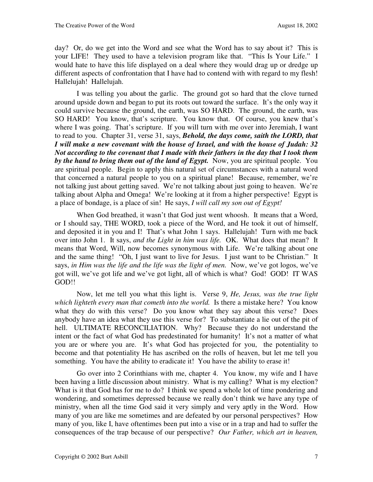day? Or, do we get into the Word and see what the Word has to say about it? This is your LIFE! They used to have a television program like that. "This Is Your Life." I would hate to have this life displayed on a deal where they would drag up or dredge up different aspects of confrontation that I have had to contend with with regard to my flesh! Hallelujah! Hallelujah.

I was telling you about the garlic. The ground got so hard that the clove turned around upside down and began to put its roots out toward the surface. It's the only way it could survive because the ground, the earth, was SO HARD. The ground, the earth, was SO HARD! You know, that's scripture. You know that. Of course, you knew that's where I was going. That's scripture. If you will turn with me over into Jeremiah, I want to read to you. Chapter 31, verse 31, says, *Behold, the days come, saith the LORD, that I will make a new covenant with the house of Israel, and with the house of Judah: 32 Not according to the covenant that I made with their fathers in the day that I took them by the hand to bring them out of the land of Egypt.* Now, you are spiritual people. You are spiritual people. Begin to apply this natural set of circumstances with a natural word that concerned a natural people to you on a spiritual plane! Because, remember, we're not talking just about getting saved. We're not talking about just going to heaven. We're talking about Alpha and Omega! We're looking at it from a higher perspective! Egypt is a place of bondage, is a place of sin! He says, *I will call my son out of Egypt!*

When God breathed, it wasn't that God just went whoosh. It means that a Word, or I should say, THE WORD, took a piece of the Word, and He took it out of himself, and deposited it in you and I! That's what John 1 says. Hallelujah! Turn with me back over into John 1. It says, *and the Light in him was life.* OK. What does that mean? It means that Word, Will, now becomes synonymous with Life. We're talking about one and the same thing! "Oh, I just want to live for Jesus. I just want to be Christian." It says, *in Him was the life and the life was the light of men.* Now, we've got logos, we've got will, we've got life and we've got light, all of which is what? God! GOD! IT WAS GOD!!

Now, let me tell you what this light is. Verse 9, *He, Jesus, was the true light which lighteth every man that cometh into the world.* Is there a mistake here? You know what they do with this verse? Do you know what they say about this verse? Does anybody have an idea what they use this verse for? To substantiate a lie out of the pit of hell. ULTIMATE RECONCILIATION. Why? Because they do not understand the intent or the fact of what God has predestinated for humanity! It's not a matter of what you are or where you are. It's what God has projected for you, the potentiality to become and that potentiality He has ascribed on the rolls of heaven, but let me tell you something. You have the ability to eradicate it! You have the ability to erase it!

Go over into 2 Corinthians with me, chapter 4. You know, my wife and I have been having a little discussion about ministry. What is my calling? What is my election? What is it that God has for me to do? I think we spend a whole lot of time pondering and wondering, and sometimes depressed because we really don't think we have any type of ministry, when all the time God said it very simply and very aptly in the Word. How many of you are like me sometimes and are defeated by our personal perspectives? How many of you, like I, have oftentimes been put into a vise or in a trap and had to suffer the consequences of the trap because of our perspective? *Our Father, which art in heaven,*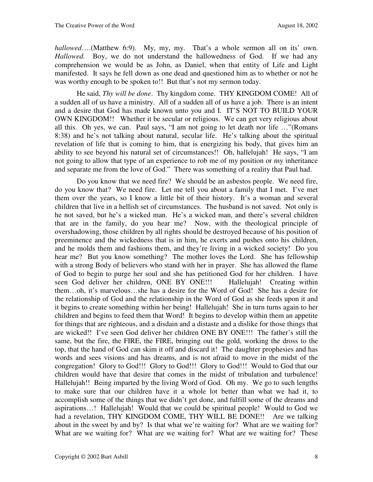*hallowed*….(Matthew 6:9). My, my, my. That's a whole sermon all on its' own. *Hallowed.* Boy, we do not understand the hallowedness of God. If we had any comprehension we would be as John, as Daniel, when that entity of Life and Light manifested. It says he fell down as one dead and questioned him as to whether or not he was worthy enough to be spoken to!! But that's not my sermon today.

He said, *Thy will be done*. Thy kingdom come. THY KINGDOM COME! All of a sudden all of us have a ministry. All of a sudden all of us have a job. There is an intent and a desire that God has made known unto you and I. IT'S NOT TO BUILD YOUR OWN KINGDOM!! Whether it be secular or religious. We can get very religious about all this. Oh yes, we can. Paul says, "I am not going to let death nor life …"(Romans 8:38) and he's not talking about natural, secular life. He's talking about the spiritual revelation of life that is coming to him, that is energizing his body, that gives him an ability to see beyond his natural set of circumstances!! Oh, hallelujah! He says, "I am not going to allow that type of an experience to rob me of my position or my inheritance and separate me from the love of God." There was something of a reality that Paul had.

Do you know that we need fire? We should be an asbestos people. We need fire, do you know that? We need fire. Let me tell you about a family that I met. I've met them over the years, so I know a little bit of their history. It's a woman and several children that live in a hellish set of circumstances. The husband is not saved. Not only is he not saved, but he's a wicked man. He's a wicked man, and there's several children that are in the family, do you hear me? Now, with the theological principle of overshadowing, those children by all rights should be destroyed because of his position of preeminence and the wickedness that is in him, he exerts and pushes onto his children, and he molds them and fashions them, and they're living in a wicked society! Do you hear me? But you know something? The mother loves the Lord. She has fellowship with a strong Body of believers who stand with her in prayer. She has allowed the flame of God to begin to purge her soul and she has petitioned God for her children. I have seen God deliver her children, ONE BY ONE!!! Hallelujah! Creating within them…oh, it's marvelous…she has a desire for the Word of God! She has a desire for the relationship of God and the relationship in the Word of God as she feeds upon it and it begins to create something within her being! Hallelujah! She in turn turns again to her children and begins to feed them that Word! It begins to develop within them an appetite for things that are righteous, and a disdain and a distaste and a dislike for those things that are wicked!! I've seen God deliver her children ONE BY ONE!!! The father's still the same, but the fire, the FIRE, the FIRE, bringing out the gold, working the dross to the top, that the hand of God can skim it off and discard it! The daughter prophesies and has words and sees visions and has dreams, and is not afraid to move in the midst of the congregation! Glory to God!!! Glory to God!!! Glory to God!!! Would to God that our children would have that desire that comes in the midst of tribulation and turbulence! Hallelujah!! Being imparted by the living Word of God. Oh my. We go to such lengths to make sure that our children have it a whole lot better than what we had it, to accomplish some of the things that we didn't get done, and fulfill some of the dreams and aspirations…! Hallelujah! Would that we could be spiritual people! Would to God we had a revelation, THY KINGDOM COME, THY WILL BE DONE!! Are we talking about in the sweet by and by? Is that what we're waiting for? What are we waiting for? What are we waiting for? What are we waiting for? What are we waiting for? These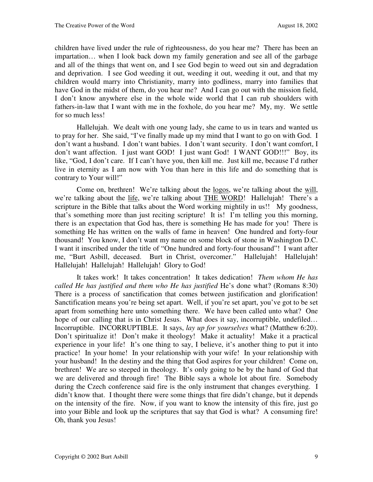children have lived under the rule of righteousness, do you hear me? There has been an impartation… when I look back down my family generation and see all of the garbage and all of the things that went on, and I see God begin to weed out sin and degradation and deprivation. I see God weeding it out, weeding it out, weeding it out, and that my children would marry into Christianity, marry into godliness, marry into families that have God in the midst of them, do you hear me? And I can go out with the mission field, I don't know anywhere else in the whole wide world that I can rub shoulders with fathers-in-law that I want with me in the foxhole, do you hear me? My, my. We settle for so much less!

Hallelujah. We dealt with one young lady, she came to us in tears and wanted us to pray for her. She said, "I've finally made up my mind that I want to go on with God. I don't want a husband. I don't want babies. I don't want security. I don't want comfort, I don't want affection. I just want GOD! I just want God! I WANT GOD!!!" Boy, its like, "God, I don't care. If I can't have you, then kill me. Just kill me, because I'd rather live in eternity as I am now with You than here in this life and do something that is contrary to Your will!"

Come on, brethren! We're talking about the <u>logos</u>, we're talking about the will, we're talking about the life, we're talking about THE WORD! Hallelujah! There's a scripture in the Bible that talks about the Word working mightily in us!! My goodness, that's something more than just reciting scripture! It is! I'm telling you this morning, there is an expectation that God has, there is something He has made for you! There is something He has written on the walls of fame in heaven! One hundred and forty-four thousand! You know, I don't want my name on some block of stone in Washington D.C. I want it inscribed under the title of "One hundred and forty-four thousand"! I want after me, "Burt Asbill, deceased. Burt in Christ, overcomer." Hallelujah! Hallelujah! Hallelujah! Hallelujah! Hallelujah! Glory to God!

It takes work! It takes concentration! It takes dedication! *Them whom He has called He has justified and them who He has justified* He's done what? (Romans 8:30) There is a process of sanctification that comes between justification and glorification! Sanctification means you're being set apart. Well, if you're set apart, you've got to be set apart from something here unto something there. We have been called unto what? One hope of our calling that is in Christ Jesus. What does it say, incorruptible, undefiled... Incorruptible. INCORRUPTIBLE. It says, *lay up for yourselves* what? (Matthew 6:20). Don't spiritualize it! Don't make it theology! Make it actuality! Make it a practical experience in your life! It's one thing to say, I believe, it's another thing to put it into practice! In your home! In your relationship with your wife! In your relationship with your husband! In the destiny and the thing that God aspires for your children! Come on, brethren! We are so steeped in theology. It's only going to be by the hand of God that we are delivered and through fire! The Bible says a whole lot about fire. Somebody during the Czech conference said fire is the only instrument that changes everything. I didn't know that. I thought there were some things that fire didn't change, but it depends on the intensity of the fire. Now, if you want to know the intensity of this fire, just go into your Bible and look up the scriptures that say that God is what? A consuming fire! Oh, thank you Jesus!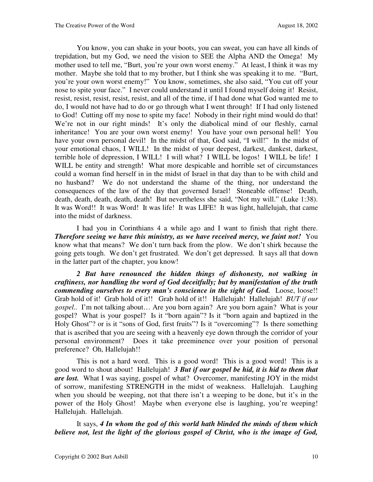You know, you can shake in your boots, you can sweat, you can have all kinds of trepidation, but my God, we need the vision to SEE the Alpha AND the Omega! My mother used to tell me, "Burt, you're your own worst enemy." At least, I think it was my mother. Maybe she told that to my brother, but I think she was speaking it to me. "Burt, you're your own worst enemy!" You know, sometimes, she also said, "You cut off your nose to spite your face." I never could understand it until I found myself doing it! Resist, resist, resist, resist, resist, resist, and all of the time, if I had done what God wanted me to do, I would not have had to do or go through what I went through! If I had only listened to God! Cutting off my nose to spite my face! Nobody in their right mind would do that! We're not in our right minds! It's only the diabolical mind of our fleshly, carnal inheritance! You are your own worst enemy! You have your own personal hell! You have your own personal devil! In the midst of that, God said, "I will!" In the midst of your emotional chaos, I WILL! In the midst of your deepest, darkest, dankest, darkest, terrible hole of depression, I WILL! I will what? I WILL be logos! I WILL be life! I WILL be entity and strength! What more despicable and horrible set of circumstances could a woman find herself in in the midst of Israel in that day than to be with child and no husband? We do not understand the shame of the thing, nor understand the consequences of the law of the day that governed Israel! Stoneable offense! Death, death, death, death, death, death! But nevertheless she said, "Not my will." (Luke 1:38). It was Word!! It was Word! It was life! It was LIFE! It was light, hallelujah, that came into the midst of darkness.

I had you in Corinthians 4 a while ago and I want to finish that right there. *Therefore seeing we have this ministry, as we have received mercy, we faint not!* **You** know what that means? We don't turn back from the plow. We don't shirk because the going gets tough. We don't get frustrated. We don't get depressed. It says all that down in the latter part of the chapter, you know!

*2 But have renounced the hidden things of dishonesty, not walking in craftiness, nor handling the word of God deceitfully; but by manifestation of the truth commending ourselves to every man's conscience in the sight of God.* Loose, loose!! Grab hold of it! Grab hold of it!! Grab hold of it!! Hallelujah! Hallelujah! *BUT if our gospel..* I'm not talking about… Are you born again? Are you born again? What is your gospel? What is your gospel? Is it "born again"? Is it "born again and baptized in the Holy Ghost"? or is it "sons of God, first fruits"? Is it "overcoming"? Is there something that is ascribed that you are seeing with a heavenly eye down through the corridor of your personal environment? Does it take preeminence over your position of personal preference? Oh, Hallelujah!!

This is not a hard word. This is a good word! This is a good word! This is a good word to shout about! Hallelujah! *3 But if our gospel be hid, it is hid to them that are lost.* What I was saying, gospel of what? Overcomer, manifesting JOY in the midst of sorrow, manifesting STRENGTH in the midst of weakness. Hallelujah. Laughing when you should be weeping, not that there isn't a weeping to be done, but it's in the power of the Holy Ghost! Maybe when everyone else is laughing, you're weeping! Hallelujah. Hallelujah.

It says, *4 In whom the god of this world hath blinded the minds of them which believe not, lest the light of the glorious gospel of Christ, who is the image of God,*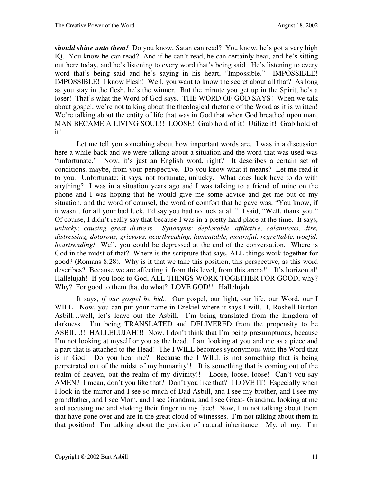*should shine unto them!* Do you know, Satan can read? You know, he's got a very high IQ. You know he can read? And if he can't read, he can certainly hear, and he's sitting out here today, and he's listening to every word that's being said. He's listening to every word that's being said and he's saying in his heart, "Impossible." IMPOSSIBLE! IMPOSSIBLE! I know Flesh! Well, you want to know the secret about all that? As long as you stay in the flesh, he's the winner. But the minute you get up in the Spirit, he's a loser! That's what the Word of God says. THE WORD OF GOD SAYS! When we talk about gospel, we're not talking about the theological rhetoric of the Word as it is written! We're talking about the entity of life that was in God that when God breathed upon man, MAN BECAME A LIVING SOUL!! LOOSE! Grab hold of it! Utilize it! Grab hold of it!

Let me tell you something about how important words are. I was in a discussion here a while back and we were talking about a situation and the word that was used was "unfortunate." Now, it's just an English word, right? It describes a certain set of conditions, maybe, from your perspective. Do you know what it means? Let me read it to you. Unfortunate: it says, not fortunate; unlucky. What does luck have to do with anything? I was in a situation years ago and I was talking to a friend of mine on the phone and I was hoping that he would give me some advice and get me out of my situation, and the word of counsel, the word of comfort that he gave was, "You know, if it wasn't for all your bad luck, I'd say you had no luck at all." I said, "Well, thank you." Of course, I didn't really say that because I was in a pretty hard place at the time. It says, *unlucky; causing great distress. Synonyms: deplorable, afflictive, calamitous, dire, distressing, dolorous, grievous, heartbreaking, lamentable, mournful, regrettable, woeful, heartrending!* Well, you could be depressed at the end of the conversation. Where is God in the midst of that? Where is the scripture that says, ALL things work together for good? (Romans 8:28). Why is it that we take this position, this perspective, as this word describes? Because we are affecting it from this level, from this arena!! It's horizontal! Hallelujah! If you look to God, ALL THINGS WORK TOGETHER FOR GOOD, why? Why? For good to them that do what? LOVE GOD!! Hallelujah.

It says, *if our gospel be hid…* Our gospel, our light, our life, our Word, our I WILL. Now, you can put your name in Ezekiel where it says I will. I, Roshell Burton Asbill…well, let's leave out the Asbill. I'm being translated from the kingdom of darkness. I'm being TRANSLATED and DELIVERED from the propensity to be ASBILL!! HALLELUJAH!!! Now, I don't think that I'm being presumptuous, because I'm not looking at myself or you as the head. I am looking at you and me as a piece and a part that is attached to the Head! The I WILL becomes synonymous with the Word that is in God! Do you hear me? Because the I WILL is not something that is being perpetrated out of the midst of my humanity!! It is something that is coming out of the realm of heaven, out the realm of my divinity!! Loose, loose, loose! Can't you say AMEN? I mean, don't you like that? Don't you like that? I LOVE IT! Especially when I look in the mirror and I see so much of Dad Asbill, and I see my brother, and I see my grandfather, and I see Mom, and I see Grandma, and I see Great- Grandma, looking at me and accusing me and shaking their finger in my face! Now, I'm not talking about them that have gone over and are in the great cloud of witnesses. I'm not talking about them in that position! I'm talking about the position of natural inheritance! My, oh my. I'm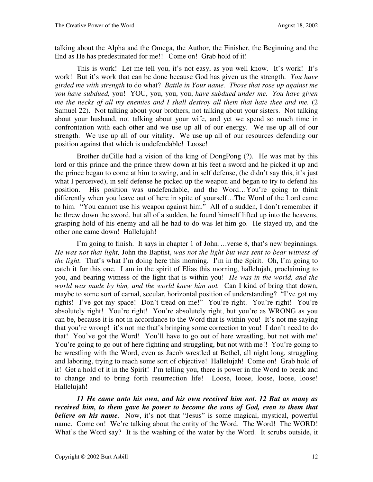talking about the Alpha and the Omega, the Author, the Finisher, the Beginning and the End as He has predestinated for me!! Come on! Grab hold of it!

This is work! Let me tell you, it's not easy, as you well know. It's work! It's work! But it's work that can be done because God has given us the strength. *You have girded me with strength* to do what? *Battle in Your name. Those that rose up against me you have subdued,* you! YOU, you, you, you, *have subdued under me. You have given me the necks of all my enemies and I shall destroy all them that hate thee and me.* (2) Samuel 22). Not talking about your brothers, not talking about your sisters. Not talking about your husband, not talking about your wife, and yet we spend so much time in confrontation with each other and we use up all of our energy. We use up all of our strength. We use up all of our vitality. We use up all of our resources defending our position against that which is undefendable! Loose!

Brother duCille had a vision of the king of DongPong (?). He was met by this lord or this prince and the prince threw down at his feet a sword and he picked it up and the prince began to come at him to swing, and in self defense, (he didn't say this, it's just what I perceived), in self defense he picked up the weapon and began to try to defend his position. His position was undefendable, and the Word…You're going to think differently when you leave out of here in spite of yourself…The Word of the Lord came to him. "You cannot use his weapon against him." All of a sudden, I don't remember if he threw down the sword, but all of a sudden, he found himself lifted up into the heavens, grasping hold of his enemy and all he had to do was let him go. He stayed up, and the other one came down! Hallelujah!

I'm going to finish. It says in chapter 1 of John….verse 8, that's new beginnings. *He was not that light,* John the Baptist, *was not the light but was sent to bear witness of the light.* That's what I'm doing here this morning. I'm in the Spirit. Oh, I'm going to catch it for this one. I am in the spirit of Elias this morning, hallelujah, proclaiming to you, and bearing witness of the light that is within you! *He was in the world, and the world was made by him, and the world knew him not.* Can I kind of bring that down, maybe to some sort of carnal, secular, horizontal position of understanding? "I've got my rights! I've got my space! Don't tread on me!" You're right. You're right! You're absolutely right! You're right! You're absolutely right, but you're as WRONG as you can be, because it is not in accordance to the Word that is within you! It's not me saying that you're wrong! it's not me that's bringing some correction to you! I don't need to do that! You've got the Word! You'll have to go out of here wrestling, but not with me! You're going to go out of here fighting and struggling, but not with me!! You're going to be wrestling with the Word, even as Jacob wrestled at Bethel, all night long, struggling and laboring, trying to reach some sort of objective! Hallelujah! Come on! Grab hold of it! Get a hold of it in the Spirit! I'm telling you, there is power in the Word to break and to change and to bring forth resurrection life! Loose, loose, loose, loose, loose! Hallelujah!

*11 He came unto his own, and his own received him not. 12 But as many as received him, to them gave he power to become the sons of God, even to them that believe on his name.* Now, it's not that "Jesus" is some magical, mystical, powerful name. Come on! We're talking about the entity of the Word. The Word! The WORD! What's the Word say? It is the washing of the water by the Word. It scrubs outside, it